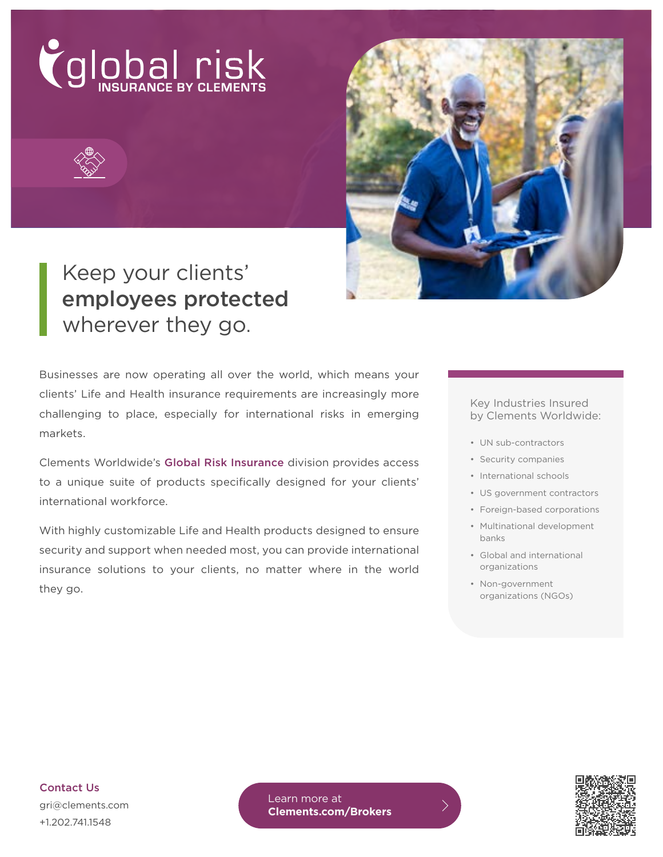



# Keep your clients' employees protected wherever they go.

Businesses are now operating all over the world, which means your clients' Life and Health insurance requirements are increasingly more challenging to place, especially for international risks in emerging markets.

Clements Worldwide's Global Risk Insurance division provides access to a unique suite of products specifically designed for your clients' international workforce.

With highly customizable Life and Health products designed to ensure security and support when needed most, you can provide international insurance solutions to your clients, no matter where in the world they go.

#### Key Industries Insured by Clements Worldwide:

- UN sub-contractors
- Security companies
- International schools
- US government contractors
- Foreign-based corporations
- Multinational development banks
- Global and international organizations
- Non-government organizations (NGOs)

Contact Us gri@clements.com +1.202.741.1548

Learn more at **[Clements.com/Brokers](https://www.clements.com/wholesale-broker-partnerships?&utm_source=collateral&utm_medium=flyer&utm_campaign=gri&utm_content=vanity)**